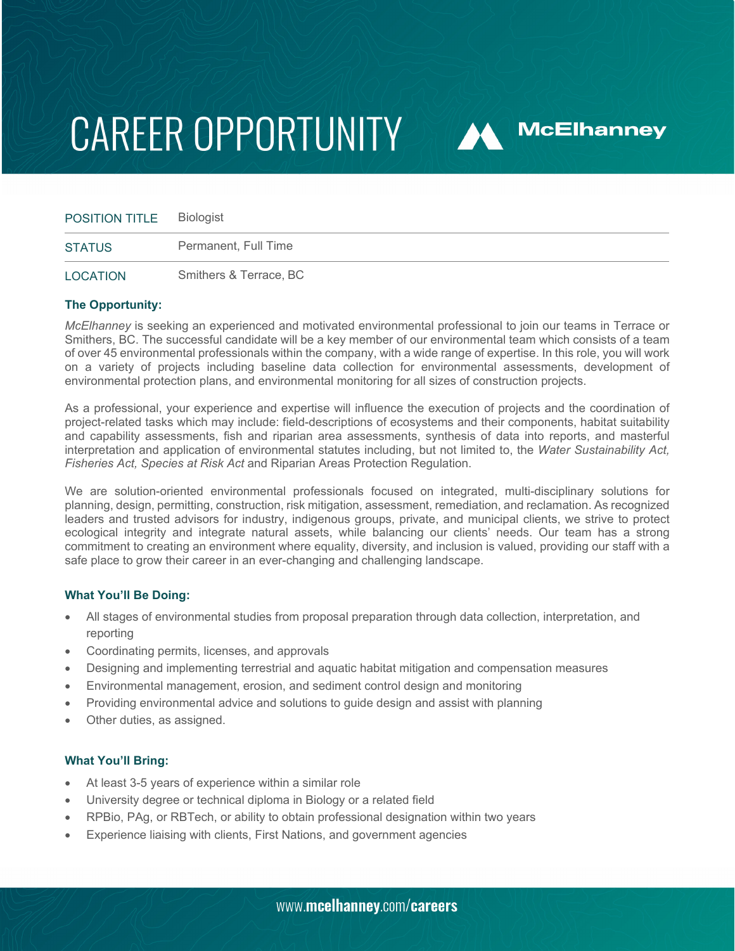# **CAREER OPPORTUNITY**

| POSITION TITLE  | Biologist              |
|-----------------|------------------------|
| <b>STATUS</b>   | Permanent, Full Time   |
| <b>LOCATION</b> | Smithers & Terrace, BC |

**A McElhanney** 

### **The Opportunity:**

*McElhanney* is seeking an experienced and motivated environmental professional to join our teams in Terrace or Smithers, BC. The successful candidate will be a key member of our environmental team which consists of a team of over 45 environmental professionals within the company, with a wide range of expertise. In this role, you will work on a variety of projects including baseline data collection for environmental assessments, development of environmental protection plans, and environmental monitoring for all sizes of construction projects.

As a professional, your experience and expertise will influence the execution of projects and the coordination of project-related tasks which may include: field-descriptions of ecosystems and their components, habitat suitability and capability assessments, fish and riparian area assessments, synthesis of data into reports, and masterful interpretation and application of environmental statutes including, but not limited to, the *Water Sustainability Act, Fisheries Act, Species at Risk Act* and Riparian Areas Protection Regulation.

We are solution-oriented environmental professionals focused on integrated, multi-disciplinary solutions for planning, design, permitting, construction, risk mitigation, assessment, remediation, and reclamation. As recognized leaders and trusted advisors for industry, indigenous groups, private, and municipal clients, we strive to protect ecological integrity and integrate natural assets, while balancing our clients' needs. Our team has a strong commitment to creating an environment where equality, diversity, and inclusion is valued, providing our staff with a safe place to grow their career in an ever-changing and challenging landscape.

### **What You'll Be Doing:**

- All stages of environmental studies from proposal preparation through data collection, interpretation, and reporting
- Coordinating permits, licenses, and approvals
- Designing and implementing terrestrial and aquatic habitat mitigation and compensation measures
- Environmental management, erosion, and sediment control design and monitoring
- Providing environmental advice and solutions to guide design and assist with planning
- Other duties, as assigned.

### **What You'll Bring:**

- At least 3-5 years of experience within a similar role
- University degree or technical diploma in Biology or a related field
- RPBio, PAg, or RBTech, or ability to obtain professional designation within two years
- Experience liaising with clients, First Nations, and government agencies